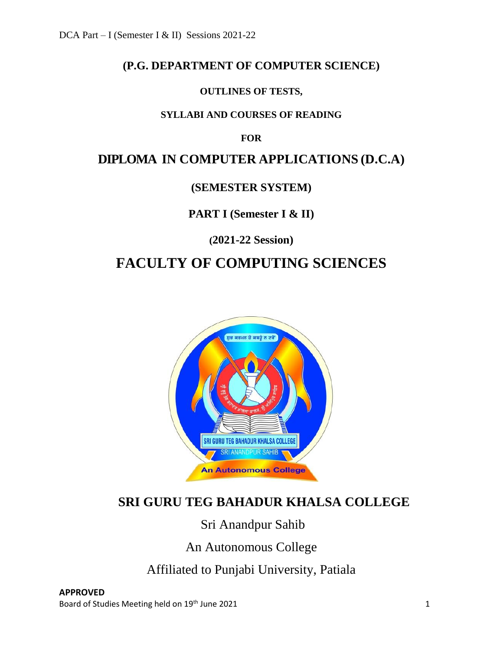# **(P.G. DEPARTMENT OF COMPUTER SCIENCE)**

### **OUTLINES OF TESTS,**

### **SYLLABI AND COURSES OF READING**

### **FOR**

# **DIPLOMA IN COMPUTER APPLICATIONS (D.C.A)**

### **(SEMESTER SYSTEM)**

# **PART I (Semester I & II)**

**(2021-22 Session)**

# **FACULTY OF COMPUTING SCIENCES**



# **SRI GURU TEG BAHADUR KHALSA COLLEGE**

# Sri Anandpur Sahib

An Autonomous College

Affiliated to Punjabi University, Patiala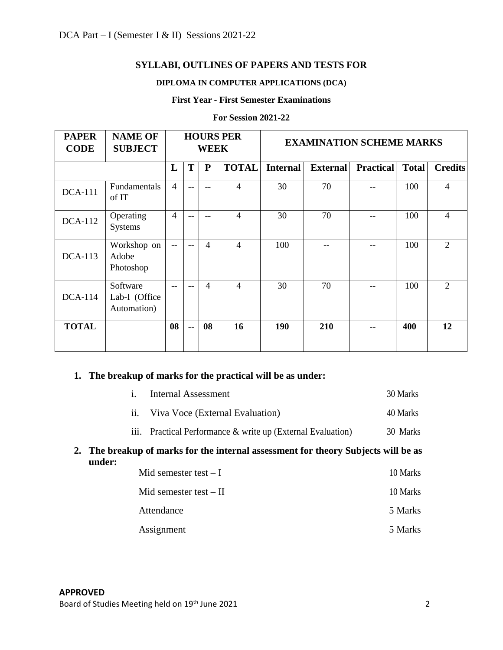### **SYLLABI, OUTLINES OF PAPERS AND TESTS FOR**

#### **DIPLOMA IN COMPUTER APPLICATIONS (DCA)**

#### **First Year - First Semester Examinations**

| <b>PAPER</b><br><b>CODE</b> | <b>NAME OF</b><br><b>SUBJECT</b>         | <b>HOURS PER</b><br><b>WEEK</b> |               |                | <b>EXAMINATION SCHEME MARKS</b> |                 |                 |                  |              |                |
|-----------------------------|------------------------------------------|---------------------------------|---------------|----------------|---------------------------------|-----------------|-----------------|------------------|--------------|----------------|
|                             |                                          | L                               | T             | ${\bf P}$      | <b>TOTAL</b>                    | <b>Internal</b> | <b>External</b> | <b>Practical</b> | <b>Total</b> | <b>Credits</b> |
| <b>DCA-111</b>              | Fundamentals<br>of IT                    | $\overline{4}$                  | --            | $-$            | $\overline{4}$                  | 30              | 70              |                  | 100          | 4              |
| <b>DCA-112</b>              | Operating<br>Systems                     |                                 | $-$           | $-$            | $\overline{4}$                  | 30              | 70              |                  | 100          | $\overline{4}$ |
| $DCA-113$                   | Workshop on<br>Adobe<br>Photoshop        | $-$                             | --            | $\overline{4}$ | $\overline{4}$                  | 100             |                 |                  | 100          | 2              |
| $DCA-114$                   | Software<br>Lab-I (Office<br>Automation) | $-$                             | --            | $\overline{4}$ | $\overline{4}$                  | 30              | 70              |                  | 100          | $\overline{2}$ |
| <b>TOTAL</b>                |                                          | 08                              | $\sim$ $\sim$ | 08             | 16                              | 190             | 210             |                  | 400          | 12             |

#### **For Session 2021-22**

### **1. The breakup of marks for the practical will be as under:**

|        | $\mathbf{i}$ . | <b>Internal Assessment</b>                                                         | 30 Marks |
|--------|----------------|------------------------------------------------------------------------------------|----------|
|        | 11.            | Viva Voce (External Evaluation)                                                    | 40 Marks |
|        |                | iii. Practical Performance & write up (External Evaluation)                        |          |
| under: |                | 2. The breakup of marks for the internal assessment for theory Subjects will be as |          |
|        |                | Mid semester test $-I$                                                             | 10 Marks |
|        |                | Mid semester test $-$ II                                                           | 10 Marks |
|        |                | Attendance                                                                         | 5 Marks  |
|        |                | Assignment                                                                         | 5 Marks  |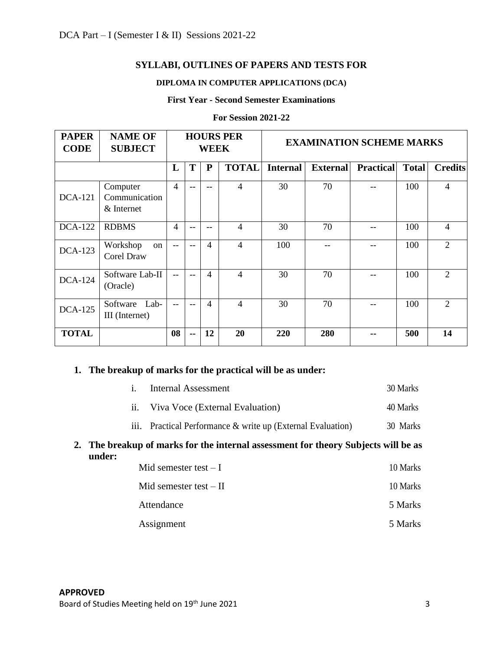### **SYLLABI, OUTLINES OF PAPERS AND TESTS FOR**

### **DIPLOMA IN COMPUTER APPLICATIONS (DCA)**

#### **First Year - Second Semester Examinations**

| <b>PAPER</b><br><b>CODE</b> | <b>NAME OF</b><br><b>SUBJECT</b>        | <b>HOURS PER</b><br><b>WEEK</b> |       |                |                          | <b>EXAMINATION SCHEME MARKS</b> |                 |                  |              |                             |
|-----------------------------|-----------------------------------------|---------------------------------|-------|----------------|--------------------------|---------------------------------|-----------------|------------------|--------------|-----------------------------|
|                             |                                         | L                               | T     | P              | <b>TOTAL</b>             | <b>Internal</b>                 | <b>External</b> | <b>Practical</b> | <b>Total</b> | <b>Credits</b>              |
| <b>DCA-121</b>              | Computer<br>Communication<br>& Internet | $\overline{4}$                  | $- -$ | $- -$          | $\overline{4}$           | 30                              | 70              |                  | 100          | 4                           |
| <b>DCA-122</b>              | <b>RDBMS</b>                            |                                 |       | --             | 4                        | 30                              | 70              |                  | 100          | 4                           |
| <b>DCA-123</b>              | Workshop<br>on<br><b>Corel Draw</b>     |                                 |       | $\overline{4}$ | 4                        | 100                             |                 |                  | 100          | $\overline{2}$              |
| <b>DCA-124</b>              | Software Lab-II<br>(Oracle)             |                                 | $- -$ | $\overline{4}$ | 4                        | 30                              | 70              |                  | 100          | 2                           |
| <b>DCA-125</b>              | Software Lab-<br>III (Internet)         |                                 | $-$   | $\overline{4}$ | $\overline{\mathcal{A}}$ | 30                              | 70              |                  | 100          | $\mathcal{D}_{\mathcal{L}}$ |
| <b>TOTAL</b>                |                                         | 08                              | --    | 12             | 20                       | <b>220</b>                      | 280             |                  | 500          | 14                          |

#### **For Session 2021-22**

### **1. The breakup of marks for the practical will be as under:**

| $\mathbf{i}$ .    | <b>Internal Assessment</b>                                                         | 30 Marks |
|-------------------|------------------------------------------------------------------------------------|----------|
| $\overline{11}$ . | Viva Voce (External Evaluation)                                                    | 40 Marks |
|                   | iii. Practical Performance & write up (External Evaluation)                        | 30 Marks |
| under:            | 2. The breakup of marks for the internal assessment for theory Subjects will be as |          |
|                   | Mid semester test $-I$                                                             | 10 Marks |
|                   | Mid semester test $-II$                                                            | 10 Marks |
|                   | Attendance                                                                         | 5 Marks  |
|                   | Assignment                                                                         | 5 Marks  |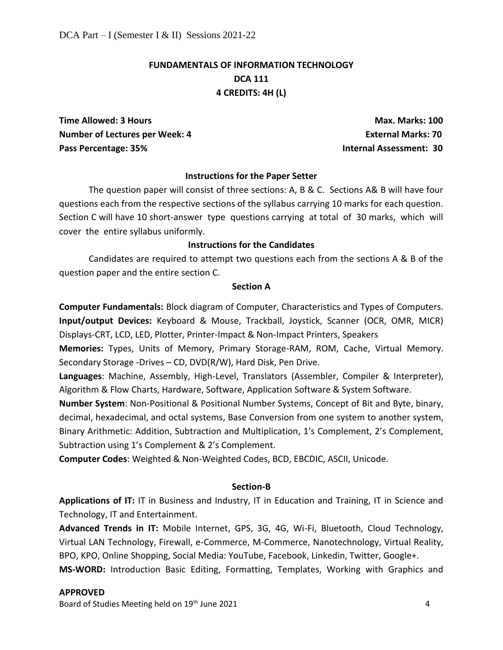# **FUNDAMENTALS OF INFORMATION TECHNOLOGY DCA 111 4 CREDITS: 4H (L)**

**Time Allowed: 3 Hours Max. Marks: 100 and Max. Marks: 100 and Max. Marks: 100 and Max. Marks: 100 and Max. Marks: 100 and Max. Marks: 100 and Max. Marks: 100 and Max. Marks: 100 and Max. Marks: 100 and Max. Marks: 100 and Number of Lectures per Week: 4 CONFIGURER 20 ATTLE External Marks: 70 ATTLE External Marks: 70 ATTLE EXTERNAL EXTERNAL EXTENDION OF LATING ANGLES AND THE EXTENDION OF LATING ASSAULT ATTLE ATTLE ATTLE ATTLE ATTLE ATTLE ATT** Pass Percentage: 35% **Internal Assessment: 30** 

#### **Instructions for the Paper Setter**

The question paper will consist of three sections: A, B & C. Sections A& B will have four questions each from the respective sections of the syllabus carrying 10 marks for each question. Section C will have 10 short-answer type questions carrying at total of 30 marks, which will cover the entire syllabus uniformly.

#### **Instructions for the Candidates**

Candidates are required to attempt two questions each from the sections A & B of the question paper and the entire section C.

#### **Section A**

**Computer Fundamentals:** Block diagram of Computer, Characteristics and Types of Computers. **Input/output Devices:** Keyboard & Mouse, Trackball, Joystick, Scanner (OCR, OMR, MICR) Displays-CRT, LCD, LED, Plotter, Printer-Impact & Non-Impact Printers, Speakers

**Memories:** Types, Units of Memory, Primary Storage-RAM, ROM, Cache, Virtual Memory. Secondary Storage -Drives – CD, DVD(R/W), Hard Disk, Pen Drive.

**Languages**: Machine, Assembly, High-Level, Translators (Assembler, Compiler & Interpreter), Algorithm & Flow Charts, Hardware, Software, Application Software & System Software.

**Number System**: Non-Positional & Positional Number Systems, Concept of Bit and Byte, binary, decimal, hexadecimal, and octal systems, Base Conversion from one system to another system, Binary Arithmetic: Addition, Subtraction and Multiplication, 1's Complement, 2's Complement, Subtraction using 1's Complement & 2's Complement.

**Computer Codes**: Weighted & Non-Weighted Codes, BCD, EBCDIC, ASCII, Unicode.

#### **Section-B**

**Applications of IT:** IT in Business and Industry, IT in Education and Training, IT in Science and Technology, IT and Entertainment.

**Advanced Trends in IT:** Mobile Internet, GPS, 3G, 4G, Wi-Fi, Bluetooth, Cloud Technology, Virtual LAN Technology, Firewall, e-Commerce, M-Commerce, Nanotechnology, Virtual Reality, BPO, KPO, Online Shopping, Social Media: YouTube, Facebook, Linkedin, Twitter, Google+.

**MS-WORD:** Introduction Basic Editing, Formatting, Templates, Working with Graphics and

#### **APPROVED**

Board of Studies Meeting held on 19<sup>th</sup> June 2021 **Accord 2018** 2021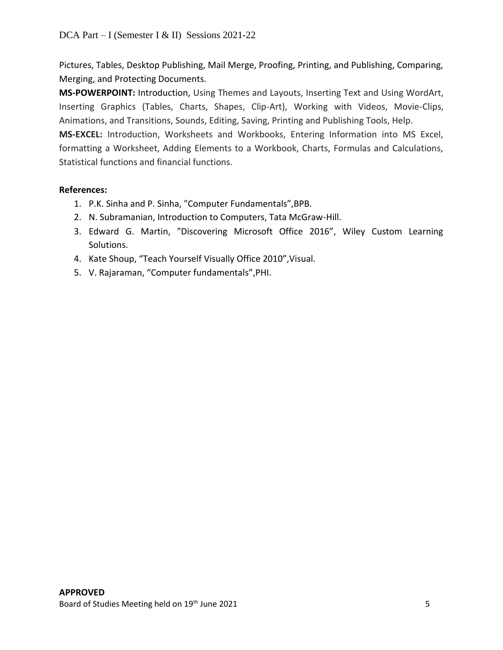Pictures, Tables, Desktop Publishing, Mail Merge, Proofing, Printing, and Publishing, Comparing, Merging, and Protecting Documents.

**MS-POWERPOINT:** Introduction, Using Themes and Layouts, Inserting Text and Using WordArt, Inserting Graphics (Tables, Charts, Shapes, Clip-Art), Working with Videos, Movie-Clips, Animations, and Transitions, Sounds, Editing, Saving, Printing and Publishing Tools, Help.

**MS-EXCEL:** Introduction, Worksheets and Workbooks, Entering Information into MS Excel, formatting a Worksheet, Adding Elements to a Workbook, Charts, Formulas and Calculations, Statistical functions and financial functions.

### **References:**

- 1. P.K. Sinha and P. Sinha, "Computer Fundamentals",BPB.
- 2. N. Subramanian, Introduction to Computers, Tata McGraw-Hill.
- 3. Edward G. Martin, "Discovering Microsoft Office 2016", Wiley Custom Learning Solutions.
- 4. Kate Shoup, "Teach Yourself Visually Office 2010",Visual.
- 5. V. Rajaraman, "Computer fundamentals",PHI.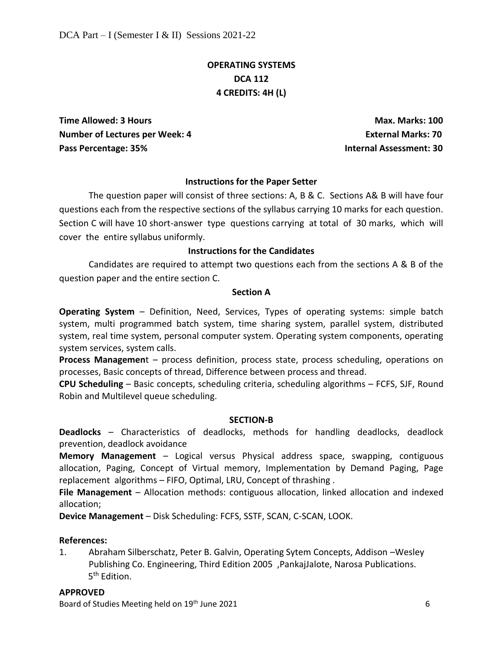# **OPERATING SYSTEMS DCA 112 4 CREDITS: 4H (L)**

**Time Allowed: 3 Hours Max. Marks: 100 Number of Lectures per Week: 4 Constrained Burger Constrained Burger Constrained Marks: 70 Constrained Marks: 70** Pass Percentage: 35%

#### **Instructions for the Paper Setter**

The question paper will consist of three sections: A, B & C. Sections A& B will have four questions each from the respective sections of the syllabus carrying 10 marks for each question. Section C will have 10 short-answer type questions carrying at total of 30 marks, which will cover the entire syllabus uniformly.

#### **Instructions for the Candidates**

Candidates are required to attempt two questions each from the sections A & B of the question paper and the entire section C.

#### **Section A**

**Operating System** – Definition, Need, Services, Types of operating systems: simple batch system, multi programmed batch system, time sharing system, parallel system, distributed system, real time system, personal computer system. Operating system components, operating system services, system calls.

**Process Managemen**t – process definition, process state, process scheduling, operations on processes, Basic concepts of thread, Difference between process and thread.

**CPU Scheduling** – Basic concepts, scheduling criteria, scheduling algorithms – FCFS, SJF, Round Robin and Multilevel queue scheduling.

#### **SECTION-B**

**Deadlocks** – Characteristics of deadlocks, methods for handling deadlocks, deadlock prevention, deadlock avoidance

**Memory Management** – Logical versus Physical address space, swapping, contiguous allocation, Paging, Concept of Virtual memory, Implementation by Demand Paging, Page replacement algorithms – FIFO, Optimal, LRU, Concept of thrashing .

**File Management** – Allocation methods: contiguous allocation, linked allocation and indexed allocation;

**Device Management** – Disk Scheduling: FCFS, SSTF, SCAN, C-SCAN, LOOK.

#### **References:**

1. Abraham Silberschatz, Peter B. Galvin, Operating Sytem Concepts, Addison –Wesley Publishing Co. Engineering, Third Edition 2005 ,PankajJalote, Narosa Publications. 5<sup>th</sup> Edition.

#### **APPROVED**

Board of Studies Meeting held on 19<sup>th</sup> June 2021 **6** and the studies of the studies of the studies of the studies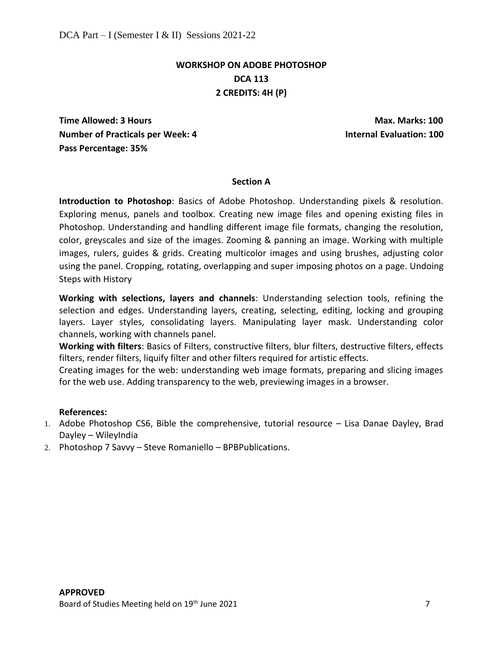# **WORKSHOP ON ADOBE PHOTOSHOP DCA 113 2 CREDITS: 4H (P)**

**Time Allowed: 3 Hours Max. Marks: 100 Number of Practicals per Week: 4 Internal Evaluation: 100 Pass Percentage: 35%** 

#### **Section A**

**Introduction to Photoshop**: Basics of Adobe Photoshop. Understanding pixels & resolution. Exploring menus, panels and toolbox. Creating new image files and opening existing files in Photoshop. Understanding and handling different image file formats, changing the resolution, color, greyscales and size of the images. Zooming & panning an image. Working with multiple images, rulers, guides & grids. Creating multicolor images and using brushes, adjusting color using the panel. Cropping, rotating, overlapping and super imposing photos on a page. Undoing Steps with History

**Working with selections, layers and channels**: Understanding selection tools, refining the selection and edges. Understanding layers, creating, selecting, editing, locking and grouping layers. Layer styles, consolidating layers. Manipulating layer mask. Understanding color channels, working with channels panel.

**Working with filters**: Basics of Filters, constructive filters, blur filters, destructive filters, effects filters, render filters, liquify filter and other filters required for artistic effects.

Creating images for the web: understanding web image formats, preparing and slicing images for the web use. Adding transparency to the web, previewing images in a browser.

#### **References:**

- 1. Adobe Photoshop CS6, Bible the comprehensive, tutorial resource Lisa Danae Dayley, Brad Dayley – WileyIndia
- 2. Photoshop 7 Savvy Steve Romaniello BPBPublications.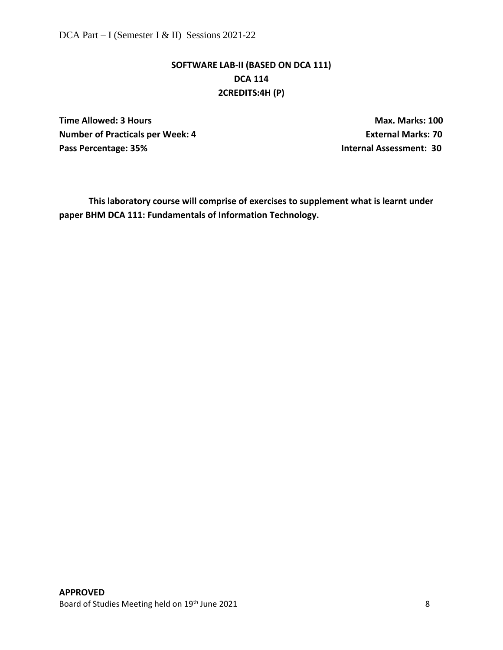# **SOFTWARE LAB-II (BASED ON DCA 111) DCA 114 2CREDITS:4H (P)**

**Time Allowed: 3 Hours Max. Marks: 100 Number of Practicals per Week: 4 COVID-EXTERNAL EXTERNAL EXTERNAL PROOF PRACTICAL PROOF PROOF PROOF PROOF PROOF PROOF PROOF PROOF PROOF PROOF PROOF PROOF PROOF PROOF PROOF PROOF PROOF PROOF PROOF PROOF PROOF PROOF PROOF P** Pass Percentage: 35% **Internal Assessment: 30** 

**This laboratory course will comprise of exercises to supplement what is learnt under paper BHM DCA 111: Fundamentals of Information Technology.**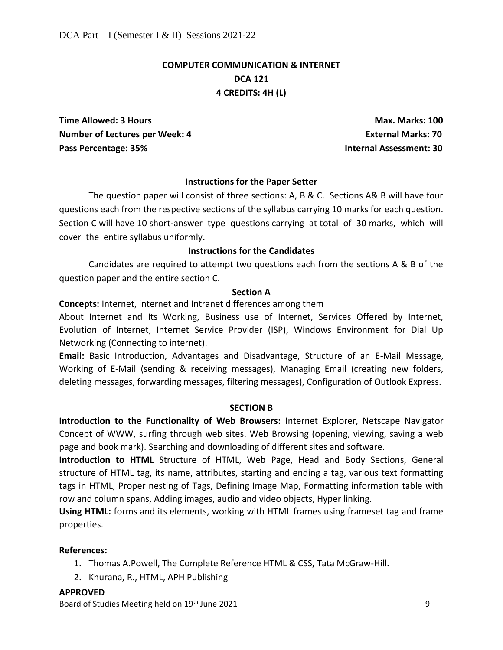# **COMPUTER COMMUNICATION & INTERNET DCA 121 4 CREDITS: 4H (L)**

**Time Allowed: 3 Hours Max. Marks: 100 Number of Lectures per Week: 4 Conservation Conservation Conservation Conservation Conservation Conservation Conservation Conservation Conservation Conservation Conservation Conservation Conservation Conservation Conserva** Pass Percentage: 35% **Internal Assessment: 30** 

#### **Instructions for the Paper Setter**

The question paper will consist of three sections: A, B & C. Sections A& B will have four questions each from the respective sections of the syllabus carrying 10 marks for each question. Section C will have 10 short-answer type questions carrying at total of 30 marks, which will cover the entire syllabus uniformly.

#### **Instructions for the Candidates**

Candidates are required to attempt two questions each from the sections A & B of the question paper and the entire section C.

#### **Section A**

**Concepts:** Internet, internet and Intranet differences among them

About Internet and Its Working, Business use of Internet, Services Offered by Internet, Evolution of Internet, Internet Service Provider (ISP), Windows Environment for Dial Up Networking (Connecting to internet).

**Email:** Basic Introduction, Advantages and Disadvantage, Structure of an E-Mail Message, Working of E-Mail (sending & receiving messages), Managing Email (creating new folders, deleting messages, forwarding messages, filtering messages), Configuration of Outlook Express.

#### **SECTION B**

**Introduction to the Functionality of Web Browsers:** Internet Explorer, Netscape Navigator Concept of WWW, surfing through web sites. Web Browsing (opening, viewing, saving a web page and book mark). Searching and downloading of different sites and software.

**Introduction to HTML** Structure of HTML, Web Page, Head and Body Sections, General structure of HTML tag, its name, attributes, starting and ending a tag, various text formatting tags in HTML, Proper nesting of Tags, Defining Image Map, Formatting information table with row and column spans, Adding images, audio and video objects, Hyper linking.

**Using HTML:** forms and its elements, working with HTML frames using frameset tag and frame properties.

#### **References:**

- 1. Thomas A.Powell, The Complete Reference HTML & CSS, Tata McGraw-Hill.
- 2. Khurana, R., HTML, APH Publishing

#### **APPROVED**

Board of Studies Meeting held on 19<sup>th</sup> June 2021 **Container a studies that the Studies of Studies Automateur** 9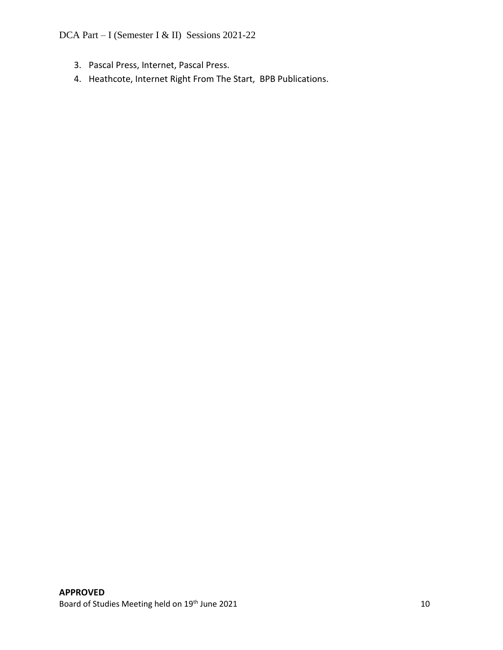- 3. Pascal Press, Internet, Pascal Press.
- 4. Heathcote, Internet Right From The Start, BPB Publications.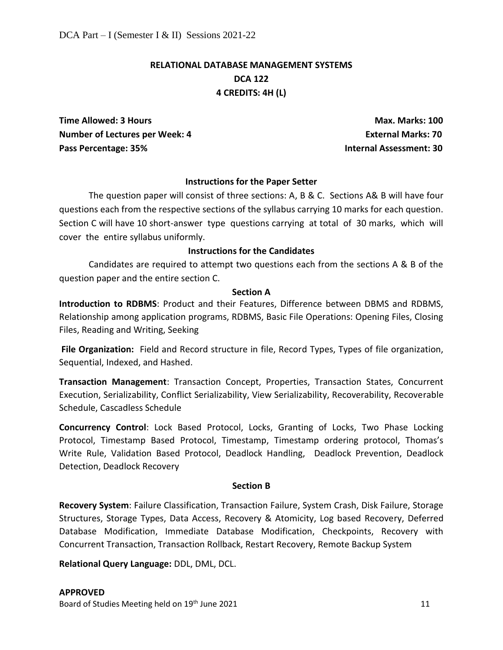# **RELATIONAL DATABASE MANAGEMENT SYSTEMS DCA 122 4 CREDITS: 4H (L)**

**Time Allowed: 3 Hours Max. Marks: 100 Number of Lectures per Week: 4 Conservation Conservation Conservation Conservation Conservation Conservation Conservation Conservation Conservation Conservation Conservation Conservation Conservation Conservation Conserva** Pass Percentage: 35% **Internal Assessment: 30** 

#### **Instructions for the Paper Setter**

The question paper will consist of three sections: A, B & C. Sections A& B will have four questions each from the respective sections of the syllabus carrying 10 marks for each question. Section C will have 10 short-answer type questions carrying at total of 30 marks, which will cover the entire syllabus uniformly.

#### **Instructions for the Candidates**

Candidates are required to attempt two questions each from the sections A & B of the question paper and the entire section C.

#### **Section A**

**Introduction to RDBMS**: Product and their Features, Difference between DBMS and RDBMS, Relationship among application programs, RDBMS, Basic File Operations: Opening Files, Closing Files, Reading and Writing, Seeking

**File Organization:** Field and Record structure in file, Record Types, Types of file organization, Sequential, Indexed, and Hashed.

**Transaction Management**: Transaction Concept, Properties, Transaction States, Concurrent Execution, Serializability, Conflict Serializability, View Serializability, Recoverability, Recoverable Schedule, Cascadless Schedule

**Concurrency Control**: Lock Based Protocol, Locks, Granting of Locks, Two Phase Locking Protocol, Timestamp Based Protocol, Timestamp, Timestamp ordering protocol, Thomas's Write Rule, Validation Based Protocol, Deadlock Handling, Deadlock Prevention, Deadlock Detection, Deadlock Recovery

#### **Section B**

**Recovery System**: Failure Classification, Transaction Failure, System Crash, Disk Failure, Storage Structures, Storage Types, Data Access, Recovery & Atomicity, Log based Recovery, Deferred Database Modification, Immediate Database Modification, Checkpoints, Recovery with Concurrent Transaction, Transaction Rollback, Restart Recovery, Remote Backup System

**Relational Query Language:** DDL, DML, DCL.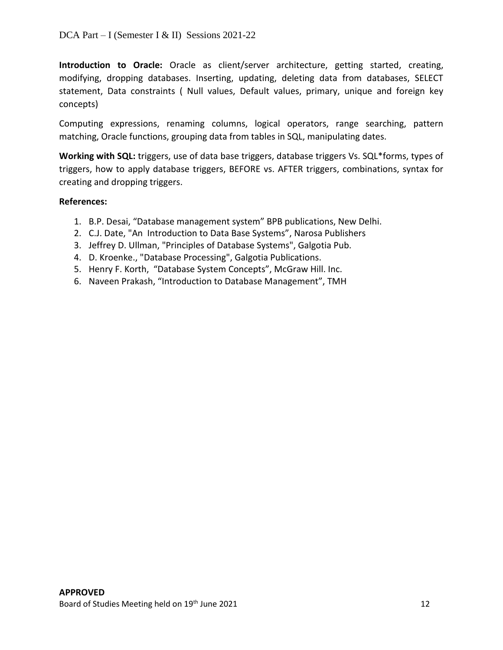**Introduction to Oracle:** Oracle as client/server architecture, getting started, creating, modifying, dropping databases. Inserting, updating, deleting data from databases, SELECT statement, Data constraints ( Null values, Default values, primary, unique and foreign key concepts)

Computing expressions, renaming columns, logical operators, range searching, pattern matching, Oracle functions, grouping data from tables in SQL, manipulating dates.

**Working with SQL:** triggers, use of data base triggers, database triggers Vs. SQL\*forms, types of triggers, how to apply database triggers, BEFORE vs. AFTER triggers, combinations, syntax for creating and dropping triggers.

### **References:**

- 1. B.P. Desai, "Database management system" BPB publications, New Delhi.
- 2. C.J. Date, "An Introduction to Data Base Systems", Narosa Publishers
- 3. Jeffrey D. Ullman, "Principles of Database Systems", Galgotia Pub.
- 4. D. Kroenke., "Database Processing", Galgotia Publications.
- 5. Henry F. Korth, "Database System Concepts", McGraw Hill. Inc.
- 6. Naveen Prakash, "Introduction to Database Management", TMH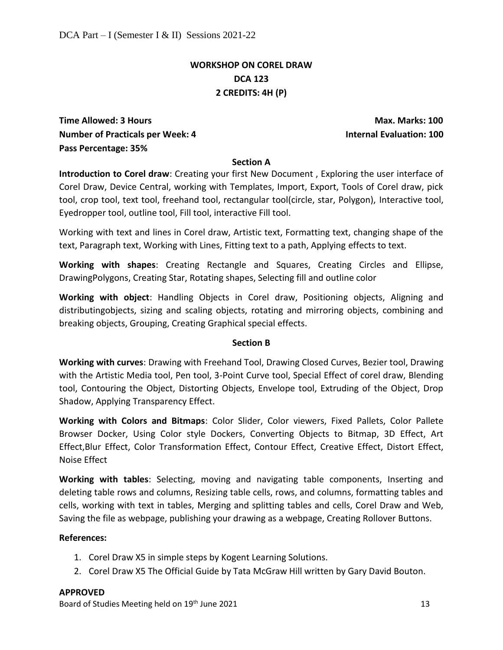### **WORKSHOP ON COREL DRAW DCA 123 2 CREDITS: 4H (P)**

**Time Allowed: 3 Hours Max. Marks: 100 Number of Practicals per Week: 4** Internal Evaluation: 100 **Pass Percentage: 35%** 

#### **Section A**

**Introduction to Corel draw**: Creating your first New Document , Exploring the user interface of Corel Draw, Device Central, working with Templates, Import, Export, Tools of Corel draw, pick tool, crop tool, text tool, freehand tool, rectangular tool(circle, star, Polygon), Interactive tool, Eyedropper tool, outline tool, Fill tool, interactive Fill tool.

Working with text and lines in Corel draw, Artistic text, Formatting text, changing shape of the text, Paragraph text, Working with Lines, Fitting text to a path, Applying effects to text.

**Working with shapes**: Creating Rectangle and Squares, Creating Circles and Ellipse, DrawingPolygons, Creating Star, Rotating shapes, Selecting fill and outline color

**Working with object**: Handling Objects in Corel draw, Positioning objects, Aligning and distributingobjects, sizing and scaling objects, rotating and mirroring objects, combining and breaking objects, Grouping, Creating Graphical special effects.

#### **Section B**

**Working with curves**: Drawing with Freehand Tool, Drawing Closed Curves, Bezier tool, Drawing with the Artistic Media tool, Pen tool, 3-Point Curve tool, Special Effect of corel draw, Blending tool, Contouring the Object, Distorting Objects, Envelope tool, Extruding of the Object, Drop Shadow, Applying Transparency Effect.

**Working with Colors and Bitmaps**: Color Slider, Color viewers, Fixed Pallets, Color Pallete Browser Docker, Using Color style Dockers, Converting Objects to Bitmap, 3D Effect, Art Effect,Blur Effect, Color Transformation Effect, Contour Effect, Creative Effect, Distort Effect, Noise Effect

**Working with tables**: Selecting, moving and navigating table components, Inserting and deleting table rows and columns, Resizing table cells, rows, and columns, formatting tables and cells, working with text in tables, Merging and splitting tables and cells, Corel Draw and Web, Saving the file as webpage, publishing your drawing as a webpage, Creating Rollover Buttons.

#### **References:**

- 1. Corel Draw X5 in simple steps by Kogent Learning Solutions.
- 2. Corel Draw X5 The Official Guide by Tata McGraw Hill written by Gary David Bouton.

#### **APPROVED**

Board of Studies Meeting held on 19<sup>th</sup> June 2021 **13** and the studies of the studies of the studies of the studies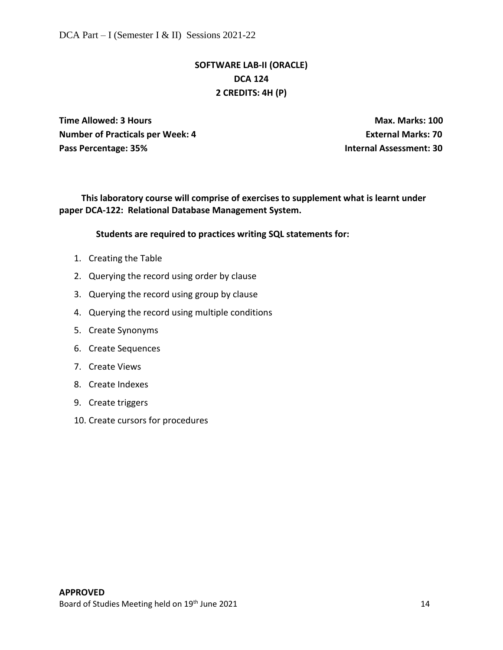# **SOFTWARE LAB-II (ORACLE) DCA 124 2 CREDITS: 4H (P)**

**Time Allowed: 3 Hours Max. Marks: 100 Number of Practicals per Week: 4 External Marks: 70** Pass Percentage: 35% **Internal Assessment: 30** 

**This laboratory course will comprise of exercises to supplement what is learnt under paper DCA-122: Relational Database Management System.**

#### **Students are required to practices writing SQL statements for:**

- 1. Creating the Table
- 2. Querying the record using order by clause
- 3. Querying the record using group by clause
- 4. Querying the record using multiple conditions
- 5. Create Synonyms
- 6. Create Sequences
- 7. Create Views
- 8. Create Indexes
- 9. Create triggers
- 10. Create cursors for procedures